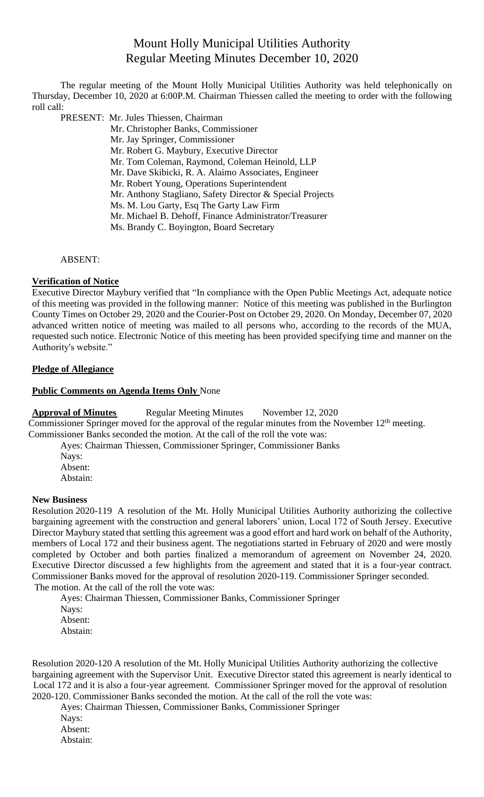# Mount Holly Municipal Utilities Authority Regular Meeting Minutes December 10, 2020

The regular meeting of the Mount Holly Municipal Utilities Authority was held telephonically on Thursday, December 10, 2020 at 6:00P.M. Chairman Thiessen called the meeting to order with the following roll call:

PRESENT: Mr. Jules Thiessen, Chairman

- Mr. Christopher Banks, Commissioner
- Mr. Jay Springer, Commissioner
- Mr. Robert G. Maybury, Executive Director
- Mr. Tom Coleman, Raymond, Coleman Heinold, LLP
- Mr. Dave Skibicki, R. A. Alaimo Associates, Engineer
- Mr. Robert Young, Operations Superintendent
- Mr. Anthony Stagliano, Safety Director & Special Projects
- Ms. M. Lou Garty, Esq The Garty Law Firm
- Mr. Michael B. Dehoff, Finance Administrator/Treasurer
- Ms. Brandy C. Boyington, Board Secretary

ABSENT:

## **Verification of Notice**

Executive Director Maybury verified that "In compliance with the Open Public Meetings Act, adequate notice of this meeting was provided in the following manner: Notice of this meeting was published in the Burlington County Times on October 29, 2020 and the Courier-Post on October 29, 2020. On Monday, December 07, 2020 advanced written notice of meeting was mailed to all persons who, according to the records of the MUA, requested such notice. Electronic Notice of this meeting has been provided specifying time and manner on the Authority's website."

## **Pledge of Allegiance**

## **Public Comments on Agenda Items Only** None

**Approval of Minutes** Regular Meeting Minutes November 12, 2020 Commissioner Springer moved for the approval of the regular minutes from the November 12<sup>th</sup> meeting.

Commissioner Banks seconded the motion. At the call of the roll the vote was:

Ayes: Chairman Thiessen, Commissioner Springer, Commissioner Banks

Nays: Absent: Abstain:

## **New Business**

Resolution 2020-119 A resolution of the Mt. Holly Municipal Utilities Authority authorizing the collective bargaining agreement with the construction and general laborers' union, Local 172 of South Jersey. Executive Director Maybury stated that settling this agreement was a good effort and hard work on behalf of the Authority, members of Local 172 and their business agent. The negotiations started in February of 2020 and were mostly completed by October and both parties finalized a memorandum of agreement on November 24, 2020. Executive Director discussed a few highlights from the agreement and stated that it is a four-year contract. Commissioner Banks moved for the approval of resolution 2020-119. Commissioner Springer seconded. The motion. At the call of the roll the vote was:

Ayes: Chairman Thiessen, Commissioner Banks, Commissioner Springer Nays: Absent: Abstain:

Resolution 2020-120 A resolution of the Mt. Holly Municipal Utilities Authority authorizing the collective bargaining agreement with the Supervisor Unit. Executive Director stated this agreement is nearly identical to Local 172 and it is also a four-year agreement. Commissioner Springer moved for the approval of resolution 2020-120. Commissioner Banks seconded the motion. At the call of the roll the vote was:

Ayes: Chairman Thiessen, Commissioner Banks, Commissioner Springer

- Nays: Absent:
- Abstain: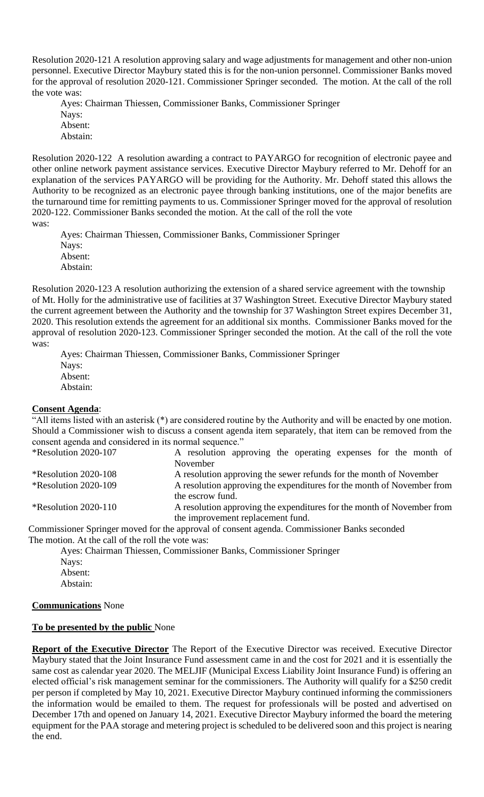Resolution 2020-121 A resolution approving salary and wage adjustments for management and other non-union personnel. Executive Director Maybury stated this is for the non-union personnel. Commissioner Banks moved for the approval of resolution 2020-121. Commissioner Springer seconded. The motion. At the call of the roll the vote was:

Ayes: Chairman Thiessen, Commissioner Banks, Commissioner Springer Nays: Absent: Abstain:

Resolution 2020-122 A resolution awarding a contract to PAYARGO for recognition of electronic payee and other online network payment assistance services. Executive Director Maybury referred to Mr. Dehoff for an explanation of the services PAYARGO will be providing for the Authority. Mr. Dehoff stated this allows the Authority to be recognized as an electronic payee through banking institutions, one of the major benefits are the turnaround time for remitting payments to us. Commissioner Springer moved for the approval of resolution 2020-122. Commissioner Banks seconded the motion. At the call of the roll the vote was:

Ayes: Chairman Thiessen, Commissioner Banks, Commissioner Springer Nays: Absent: Abstain:

Resolution 2020-123 A resolution authorizing the extension of a shared service agreement with the township of Mt. Holly for the administrative use of facilities at 37 Washington Street. Executive Director Maybury stated the current agreement between the Authority and the township for 37 Washington Street expires December 31, 2020. This resolution extends the agreement for an additional six months. Commissioner Banks moved for the approval of resolution 2020-123. Commissioner Springer seconded the motion. At the call of the roll the vote was:

Ayes: Chairman Thiessen, Commissioner Banks, Commissioner Springer Nays: Absent: Abstain:

## **Consent Agenda**:

"All items listed with an asterisk (\*) are considered routine by the Authority and will be enacted by one motion. Should a Commissioner wish to discuss a consent agenda item separately, that item can be removed from the consent agenda and considered in its normal sequence."

| *Resolution 2020-107    | A resolution approving the operating expenses for the month of         |
|-------------------------|------------------------------------------------------------------------|
|                         | November                                                               |
| *Resolution 2020-108    | A resolution approving the sewer refunds for the month of November     |
| $*$ Resolution 2020-109 | A resolution approving the expenditures for the month of November from |
|                         | the escrow fund.                                                       |
| *Resolution 2020-110    | A resolution approving the expenditures for the month of November from |
|                         | the improvement replacement fund.                                      |

Commissioner Springer moved for the approval of consent agenda. Commissioner Banks seconded The motion. At the call of the roll the vote was:

Ayes: Chairman Thiessen, Commissioner Banks, Commissioner Springer Nays: Absent: Abstain:

## **Communications** None

## **To be presented by the public** None

**Report of the Executive Director** The Report of the Executive Director was received. Executive Director Maybury stated that the Joint Insurance Fund assessment came in and the cost for 2021 and it is essentially the same cost as calendar year 2020. The MELJIF (Municipal Excess Liability Joint Insurance Fund) is offering an elected official's risk management seminar for the commissioners. The Authority will qualify for a \$250 credit per person if completed by May 10, 2021. Executive Director Maybury continued informing the commissioners the information would be emailed to them. The request for professionals will be posted and advertised on December 17th and opened on January 14, 2021. Executive Director Maybury informed the board the metering equipment for the PAA storage and metering project is scheduled to be delivered soon and this project is nearing the end.